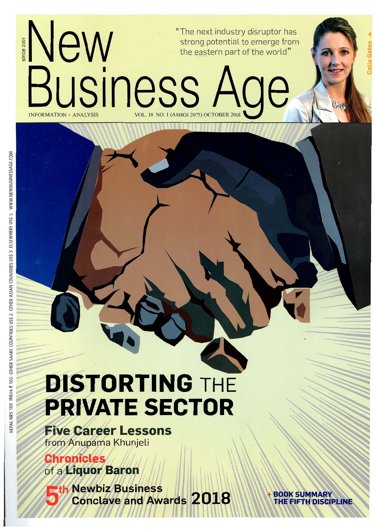

# **DISTORTING THE PRIVATE SECTOR**

**Five Career Lessons** from Anupama Khunjeli

**Chronicles** of a Liquor Baron

**Eth Newbiz Business Conclave and Awards 2018** 

**BOOK SUMMARY** THE FIFTH DISCIPLINE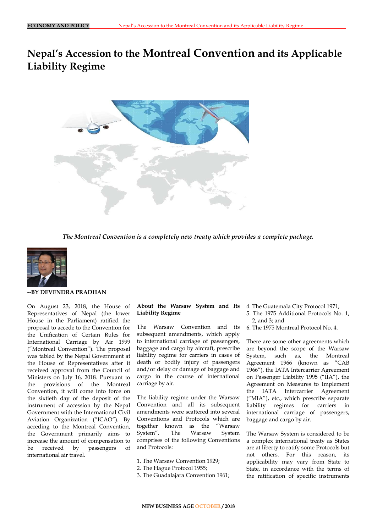# **Nepal's Accession to the Montreal Convention and its Applicable Liability Regime**



*The Montreal Convention is a completely new treaty which provides a complete package.*



#### **--BY DEVENDRA PRADHAN**

On August 23, 2018, the House of Representatives of Nepal (the lower House in the Parliament) ratified the proposal to accede to the Convention for the Unification of Certain Rules for International Carriage by Air 1999 ("Montreal Convention"). The proposal was tabled by the Nepal Government at the House of Representatives after it received approval from the Council of Ministers on July 16, 2018. Pursuant to the provisions of the Montreal Convention, it will come into force on the sixtieth day of the deposit of the instrument of accession by the Nepal Government with the International Civil Aviation Organization ("ICAO"). By acceding to the Montreal Convention, the Government primarily aims to increase the amount of compensation to be received by passengers of international air travel.

# **About the Warsaw System and Its**  4. The Guatemala City Protocol 1971; **Liability Regime**

The Warsaw Convention and its subsequent amendments, which apply to international carriage of passengers, baggage and cargo by aircraft, prescribe liability regime for carriers in cases of death or bodily injury of passengers and/or delay or damage of baggage and cargo in the course of international carriage by air.

The liability regime under the Warsaw Convention and all its subsequent amendments were scattered into several Conventions and Protocols which are together known as the "Warsaw System". The Warsaw System comprises of the following Conventions and Protocols:

- 1. The Warsaw Convention 1929;
- 2. The Hague Protocol 1955;
- 3. The Guadalajara Convention 1961;
- 
- 5. The 1975 Additional Protocols No. 1, 2, and 3; and
- 6. The 1975 Montreal Protocol No. 4.

There are some other agreements which are beyond the scope of the Warsaw System, such as, the Montreal Agreement 1966 (known as "CAB 1966"), the IATA Intercarrier Agreement on Passenger Liability 1995 ("IIA"), the Agreement on Measures to Implement the IATA Intercarrier Agreement ("MIA"), etc., which prescribe separate liability regimes for carriers in international carriage of passengers, baggage and cargo by air.

The Warsaw System is considered to be a complex international treaty as States are at liberty to ratify some Protocols but not others. For this reason, its applicability may vary from State to State, in accordance with the terms of the ratification of specific instruments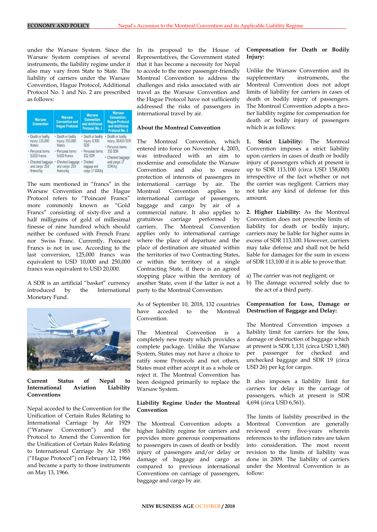under the Warsaw System. Since the Warsaw System comprises of several instruments, the liability regime under it also may vary from State to State. The liability of carriers under the Warsaw Convention, Hague Protocol, Additional Protocol No. 1 and No. 2 are prescribed as follows:

| <b>Warsaw</b><br><b>Convention</b>               | <b>Warsaw</b><br><b>Convention and</b><br><b>Hague Protocol</b> | <b>Warsaw</b><br><b>Convention</b><br>and Additional<br><b>Protocol No. 1</b> | <b>Warsaw</b><br><b>Convention,</b><br><b>Haque Protocol</b><br>and Additional<br><b>Protocol No. 2</b>                 |
|--------------------------------------------------|-----------------------------------------------------------------|-------------------------------------------------------------------------------|-------------------------------------------------------------------------------------------------------------------------|
| · Death or bodily<br>injury: 125,000<br>francs   | · Death or bodily<br>injury: 250,000<br>francs                  | • Death or bodily<br>injury: 8,300<br><b>SDR</b>                              | · Death or bodily<br>injury: 16,600 SDR<br>· Personal items:<br>332 SDR<br>· Checked baggage<br>and cargo: 17<br>SDR/kg |
| · Personal items:<br>5.000 francs                | · Personal items:<br>5.000 francs                               | · Personal items:<br>332 SDR                                                  |                                                                                                                         |
| · Checked baggage<br>and cargo: 250<br>francs/kg | · Checked baggage<br>and cargo: 250<br>francs/kg                | Checked<br>٠<br>baggage and<br>cargo: 17 SDR/kg                               |                                                                                                                         |

The sum mentioned in "francs" in the Warsaw Convention and the Hague Protocol refers to "Poincaré Francs" more commonly known as "Gold Francs" consisting of sixty-five and a half milligrams of gold of millesimal finesse of nine hundred which should neither be confused with French Franc nor Swiss Franc. Currently, Poincaré Francs is not in use. According to the last conversion, 125,000 francs was equivalent to USD 10,000 and 250,000 francs was equivalent to USD 20,000.

A SDR is an artificial "basket" currency introduced by the International Monetary Fund.



#### **Current Status of Nepal to International Aviation Liability Conventions**

Nepal acceded to the Convention for the Unification of Certain Rules Relating to International Carriage by Air 1929 ("Warsaw Convention") and the Protocol to Amend the Convention for the Unification of Certain Rules Relating to International Carriage by Air 1955 ("Hague Protocol") on February 12, 1966 and became a party to those instruments on May 13, 1966.

In its proposal to the House of Representatives, the Government stated that it has become a necessity for Nepal to accede to the more passenger-friendly Montreal Convention to address the challenges and risks associated with air travel as the Warsaw Convention and the Hague Protocol have not sufficiently addressed the risks of passengers in international travel by air.

# **About the Montreal Convention**

The Montreal Convention, which entered into force on November 4, 2003, was introduced with an aim to modernise and consolidate the Warsaw Convention and also to ensure protection of interests of passengers in international carriage by air. The Montreal Convention applies to international carriage of passengers, baggage and cargo by air of a commercial nature. It also applies to gratuitous carriage performed by carriers. The Montreal Convention applies only to international carriage where the place of departure and the place of destination are situated within the territories of two Contracting States, or within the territory of a single Contracting State, if there is an agreed stopping place within the territory of another State, even if the latter is not a party to the Montreal Convention.

As of September 10, 2018, 132 countries have acceded to the Montreal Convention.

The Montreal Convention is a completely new treaty which provides a complete package. Unlike the Warsaw System, States may not have a choice to ratify some Protocols and not others. States must either accept it as a whole or reject it. The Montreal Convention has been designed primarily to replace the Warsaw System.

#### **Liability Regime Under the Montreal Convention**

The Montreal Convention adopts a higher liability regime for carriers and provides more generous compensations to passengers in cases of death or bodily injury of passengers and/or delay or damage of baggage and cargo as compared to previous international Conventions on carriage of passengers, baggage and cargo by air.

# **Compensation for Death or Bodily Injury:**

Unlike the Warsaw Convention and its supplementary instruments, the Montreal Convention does not adopt limits of liability for carriers in cases of death or bodily injury of passengers. The Montreal Convention adopts a twotier liability regime for compensation for death or bodily injury of passengers which is as follows:

**1. Strict Liability:** The Montreal Convention imposes a strict liability upon carriers in cases of death or bodily injury of passengers which at present is up to SDR 113,100 (circa USD 158,000) irrespective of the fact whether or not the carrier was negligent. Carriers may not take any kind of defense for this amount.

**2. Higher Liability:** As the Montreal Convention does not prescribe limits of liability for death or bodily injury, carriers may be liable for higher sums in excess of SDR 113,100. However, carriers may take defense and shall not be held liable for damages for the sum in excess of SDR 113,100 if it is able to prove that:

a) The carrier was not negligent; or

b) The damage occurred solely due to the act of a third party.

# **Compensation for Loss, Damage or Destruction of Baggage and Delay:**

The Montreal Convention imposes a liability limit for carriers for the loss, damage or destruction of baggage which at present is SDR 1,131 (circa USD 1,580) per passenger for checked and unchecked baggage and SDR 19 (circa USD 26) per kg for cargos.

It also imposes a liability limit for carriers for delay in the carriage of passengers, which at present is SDR 4,694 (circa USD 6,561).

The limits of liability prescribed in the Montreal Convention are generally reviewed every five-years wherein references to the inflation rates are taken into consideration. The most recent revision to the limits of liability was done in 2009. The liability of carriers under the Montreal Convention is as follow: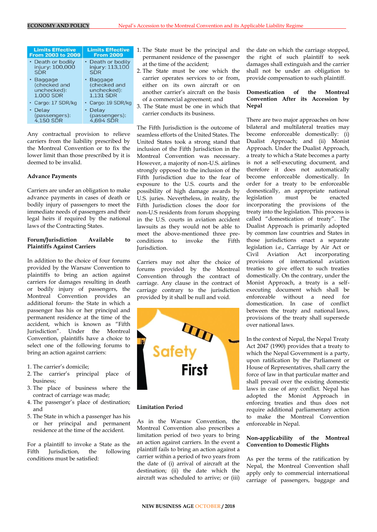| <b>Limits Effective</b><br><b>From 2003 to 2009</b>          | <b>Limits Effective</b><br><b>From 2009</b>                  | ŕ |
|--------------------------------------------------------------|--------------------------------------------------------------|---|
| • Death or bodily<br>injury: 100,000<br><b>SDR</b>           | • Death or bodily<br>injury: 113,100<br><b>SDR</b>           |   |
| • Baggage<br>(checked and<br>unchecked):<br><b>1.000 SDR</b> | • Baggage<br>(checked and<br>unchecked):<br><b>1.131 SDR</b> |   |
| · Cargo: 17 SDR/kg                                           | • Cargo: 19 SDR/kg                                           |   |
| • Delay<br>(passengers):<br>4,150 SDR                        | Delay<br>(passengers):<br>4,694 SDR                          |   |

Any contractual provision to relieve carriers from the liability prescribed by the Montreal Convention or to fix the lower limit than those prescribed by it is deemed to be invalid.

#### **Advance Payments**

Carriers are under an obligation to make advance payments in cases of death or bodily injury of passengers to meet the immediate needs of passengers and their legal heirs if required by the national laws of the Contracting States.

# **Forum/Jurisdiction Available to Plaintiffs Against Carriers**

In addition to the choice of four forums provided by the Warsaw Convention to plaintiffs to bring an action against carriers for damages resulting in death or bodily injury of passengers, the Montreal Convention provides an additional forum- the State in which a passenger has his or her principal and permanent residence at the time of the accident, which is known as "Fifth Jurisdiction". Under the Montreal Convention, plaintiffs have a choice to select one of the following forums to bring an action against carriers:

- 1. The carrier's domicile;
- 2. The carrier's principal place of business;
- 3. The place of business where the contract of carriage was made;
- 4. The passenger's place of destination; and
- 5. The State in which a passenger has his or her principal and permanent residence at the time of the accident.

For a plaintiff to invoke a State as the Fifth Jurisdiction, the following conditions must be satisfied:

- 1. The State must be the principal and permanent residence of the passenger at the time of the accident;
- 2. The State must be one which the carrier operates services to or from, either on its own aircraft or on another carrier's aircraft on the basis of a commercial agreement; and
- 3. The State must be one in which that carrier conducts its business.

The Fifth Jurisdiction is the outcome of seamless efforts of the United States. The United States took a strong stand that inclusion of the Fifth Jurisdiction in the Montreal Convention was necessary. However, a majority of non-U.S. airlines strongly opposed to the inclusion of the Fifth Jurisdiction due to the fear of exposure to the U.S. courts and the possibility of high damage awards by U.S. juries. Nevertheless, in reality, the Fifth Jurisdiction closes the door for non-U.S residents from forum shopping in the U.S. courts in aviation accident lawsuits as they would not be able to meet the above-mentioned three preconditions to invoke the Fifth Jurisdiction.

Carriers may not alter the choice of forums provided by the Montreal Convention through the contract of carriage. Any clause in the contract of carriage contrary to the jurisdiction provided by it shall be null and void.



#### **Limitation Period**

As in the Warsaw Convention, the Montreal Convention also prescribes a limitation period of two years to bring an action against carriers. In the event a plaintiff fails to bring an action against a carrier within a period of two years from the date of (i) arrival of aircraft at the destination; (ii) the date which the aircraft was scheduled to arrive; or (iii)

the date on which the carriage stopped, the right of such plaintiff to seek damages shall extinguish and the carrier shall not be under an obligation to provide compensation to such plaintiff.

# **Domestication of the Montreal Convention After its Accession by Nepal**

There are two major approaches on how bilateral and multilateral treaties may become enforceable domestically: (i) Dualist Approach; and (ii) Monist Approach. Under the Dualist Approach, a treaty to which a State becomes a party is not a self-executing document, and therefore it does not automatically become enforceable domestically. In order for a treaty to be enforceable domestically, an appropriate national legislation must be enacted incorporating the provisions of the treaty into the legislation. This process is called "domestication of treaty". The Dualist Approach is primarily adopted by common law countries and States in those jurisdictions enact a separate legislation i.e., Carriage by Air Act or Civil Aviation Act incorporating provisions of international aviation treaties to give effect to such treaties domestically. On the contrary, under the Monist Approach, a treaty is a selfexecuting document which shall be enforceable without a need for domestication. In case of conflict between the treaty and national laws, provisions of the treaty shall supersede over national laws.

In the context of Nepal, the Nepal Treaty Act 2047 (1990) provides that a treaty to which the Nepal Government is a party, upon ratification by the Parliament or House of Representatives, shall carry the force of law in that particular matter and shall prevail over the existing domestic laws in case of any conflict. Nepal has adopted the Monist Approach in enforcing treaties and thus does not require additional parliamentary action to make the Montreal Convention enforceable in Nepal.

# **Non-applicability of the Montreal Convention to Domestic Flights**

As per the terms of the ratification by Nepal, the Montreal Convention shall apply only to commercial international carriage of passengers, baggage and